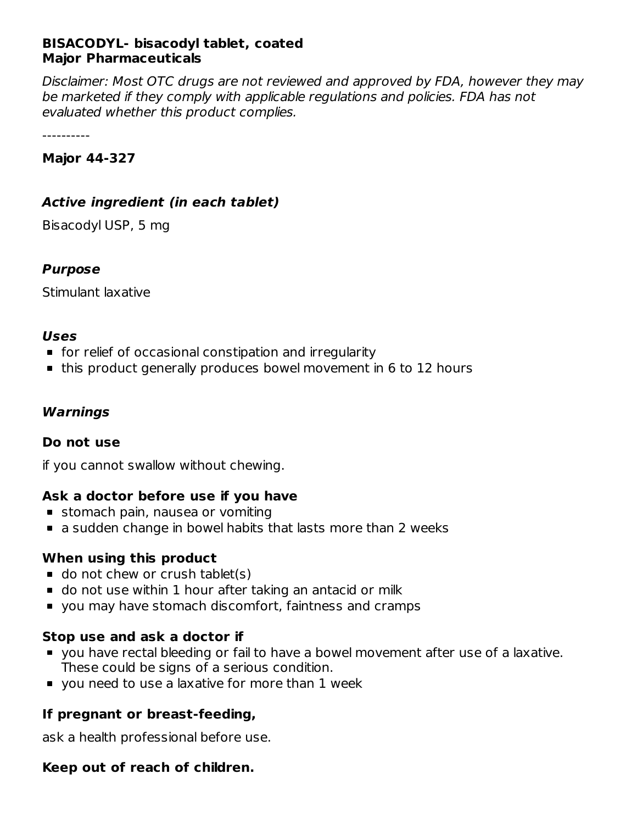# **BISACODYL- bisacodyl tablet, coated Major Pharmaceuticals**

Disclaimer: Most OTC drugs are not reviewed and approved by FDA, however they may be marketed if they comply with applicable regulations and policies. FDA has not evaluated whether this product complies.

----------

#### **Major 44-327**

# **Active ingredient (in each tablet)**

Bisacodyl USP, 5 mg

#### **Purpose**

Stimulant laxative

#### **Uses**

- **for relief of occasional constipation and irregularity**
- this product generally produces bowel movement in 6 to 12 hours

# **Warnings**

#### **Do not use**

if you cannot swallow without chewing.

# **Ask a doctor before use if you have**

- **stomach pain, nausea or vomiting**
- a sudden change in bowel habits that lasts more than 2 weeks

# **When using this product**

- $\blacksquare$  do not chew or crush tablet(s)
- do not use within 1 hour after taking an antacid or milk
- you may have stomach discomfort, faintness and cramps

# **Stop use and ask a doctor if**

- you have rectal bleeding or fail to have a bowel movement after use of a laxative. These could be signs of a serious condition.
- **v** you need to use a laxative for more than 1 week

# **If pregnant or breast-feeding,**

ask a health professional before use.

# **Keep out of reach of children.**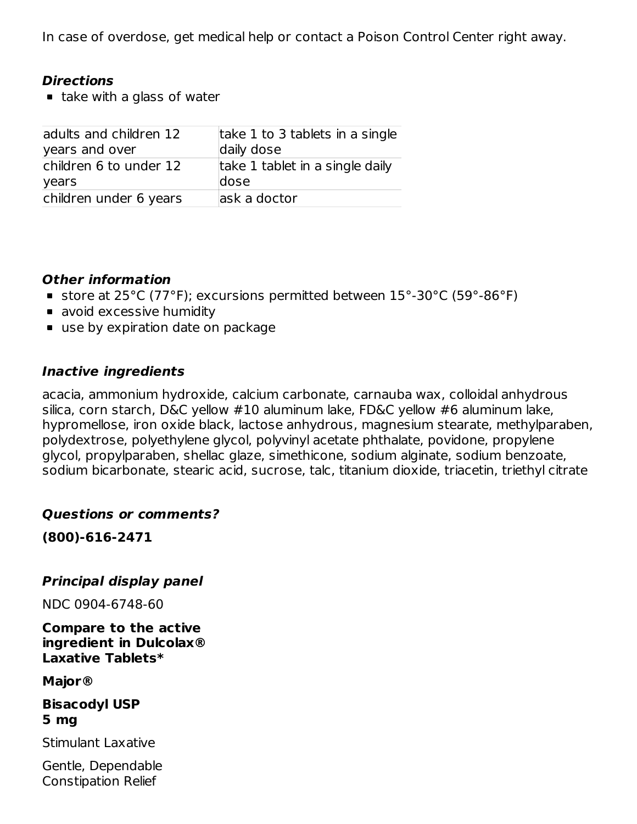In case of overdose, get medical help or contact a Poison Control Center right away.

### **Directions**

 $\blacksquare$  take with a glass of water

| adults and children 12 | take 1 to 3 tablets in a single |
|------------------------|---------------------------------|
| years and over         | daily dose                      |
| children 6 to under 12 | take 1 tablet in a single daily |
| years                  | dose                            |
| children under 6 years | lask a doctor                   |

#### **Other information**

- store at 25°C (77°F); excursions permitted between 15°-30°C (59°-86°F)
- **a** avoid excessive humidity
- use by expiration date on package

# **Inactive ingredients**

acacia, ammonium hydroxide, calcium carbonate, carnauba wax, colloidal anhydrous silica, corn starch, D&C yellow #10 aluminum lake, FD&C yellow #6 aluminum lake, hypromellose, iron oxide black, lactose anhydrous, magnesium stearate, methylparaben, polydextrose, polyethylene glycol, polyvinyl acetate phthalate, povidone, propylene glycol, propylparaben, shellac glaze, simethicone, sodium alginate, sodium benzoate, sodium bicarbonate, stearic acid, sucrose, talc, titanium dioxide, triacetin, triethyl citrate

# **Questions or comments?**

**(800)-616-2471**

# **Principal display panel**

NDC 0904-6748-60

**Compare to the active ingredient in Dulcolax® Laxative Tablets\***

**Major®**

**Bisacodyl USP 5 mg**

Stimulant Laxative

Gentle, Dependable Constipation Relief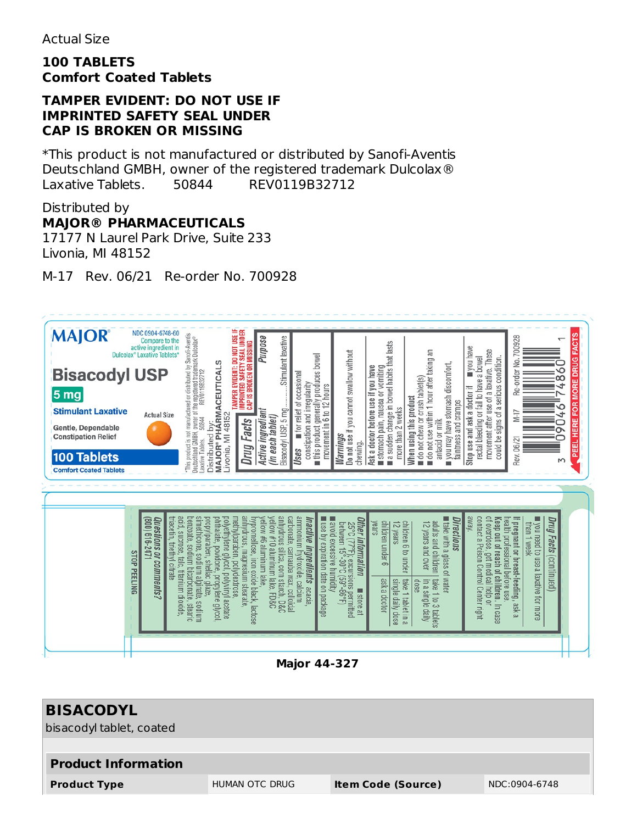#### **100 TABLETS Comfort Coated Tablets**

#### **TAMPER EVIDENT: DO NOT USE IF IMPRINTED SAFETY SEAL UNDER CAP IS BROKEN OR MISSING**

\*This product is not manufactured or distributed by Sanofi-Aventis Deutschland GMBH, owner of the registered trademark Dulcolax® Laxative Tablets. 50844 REV0119B32712

### Distributed by **MAJOR® PHARMACEUTICALS**

17177 N Laurel Park Drive, Suite 233 Livonia, MI 48152

M-17 Rev. 06/21 Re-order No. 700928



| <b>BISACODYL</b><br>bisacodyl tablet, coated |                |                           |               |
|----------------------------------------------|----------------|---------------------------|---------------|
| <b>Product Information</b>                   |                |                           |               |
| <b>Product Type</b>                          | HUMAN OTC DRUG | <b>Item Code (Source)</b> | NDC:0904-6748 |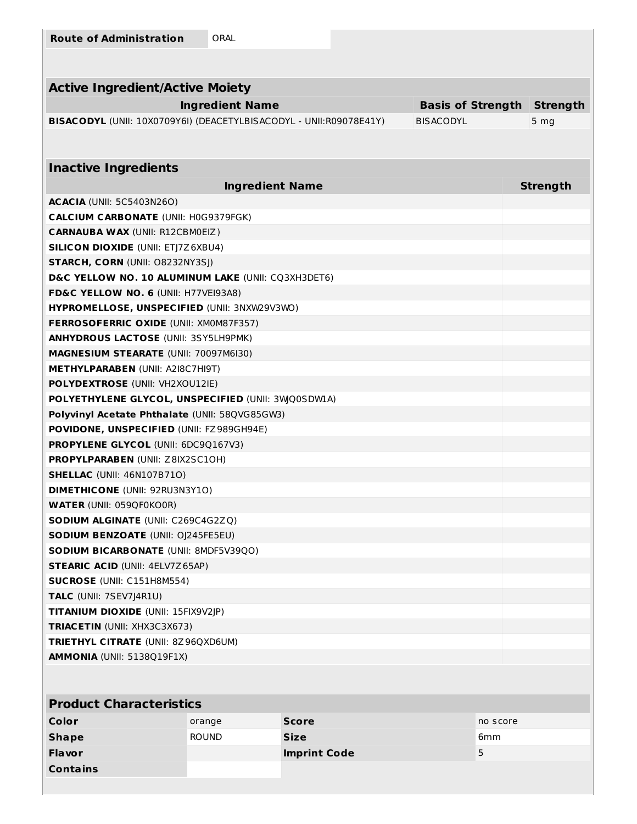| <b>Route of Administration</b> | ORAL |
|--------------------------------|------|
|                                |      |

| <b>Active Ingredient/Active Moiety</b>                                                  |                 |  |
|-----------------------------------------------------------------------------------------|-----------------|--|
| <b>Ingredient Name</b><br><b>Basis of Strength</b>                                      | <b>Strength</b> |  |
| BISACODYL (UNII: 10X0709Y6I) (DEACETYLBISACODYL - UNII: R09078E41Y)<br><b>BISACODYL</b> | 5 <sub>mg</sub> |  |
|                                                                                         |                 |  |
|                                                                                         |                 |  |
| <b>Inactive Ingredients</b>                                                             |                 |  |
| <b>Ingredient Name</b>                                                                  | <b>Strength</b> |  |
| <b>ACACIA</b> (UNII: 5C5403N26O)                                                        |                 |  |
| <b>CALCIUM CARBONATE (UNII: H0G9379FGK)</b>                                             |                 |  |
| <b>CARNAUBA WAX (UNII: R12CBM0EIZ)</b>                                                  |                 |  |
| <b>SILICON DIOXIDE (UNII: ETJ7Z6XBU4)</b>                                               |                 |  |
| <b>STARCH, CORN (UNII: O8232NY3SJ)</b>                                                  |                 |  |
| D&C YELLOW NO. 10 ALUMINUM LAKE (UNII: CQ3XH3DET6)                                      |                 |  |
| FD&C YELLOW NO. 6 (UNII: H77VEI93A8)                                                    |                 |  |
| HYPROMELLOSE, UNSPECIFIED (UNII: 3NXW29V3WO)                                            |                 |  |
| <b>FERROSOFERRIC OXIDE (UNII: XM0M87F357)</b>                                           |                 |  |
| <b>ANHYDROUS LACTOSE (UNII: 3SY5LH9PMK)</b>                                             |                 |  |
| <b>MAGNESIUM STEARATE (UNII: 70097M6I30)</b>                                            |                 |  |
| <b>METHYLPARABEN (UNII: A2I8C7HI9T)</b>                                                 |                 |  |
| <b>POLYDEXTROSE (UNII: VH2XOU12IE)</b>                                                  |                 |  |
| POLYETHYLENE GLYCOL, UNSPECIFIED (UNII: 3WQ0SDW1A)                                      |                 |  |
| Polyvinyl Acetate Phthalate (UNII: 58QVG85GW3)                                          |                 |  |
| <b>POVIDONE, UNSPECIFIED (UNII: FZ989GH94E)</b>                                         |                 |  |
| <b>PROPYLENE GLYCOL (UNII: 6DC9Q167V3)</b>                                              |                 |  |
| PROPYLPARABEN (UNII: Z8IX2SC10H)                                                        |                 |  |
| <b>SHELLAC (UNII: 46N107B710)</b>                                                       |                 |  |
| <b>DIMETHICONE (UNII: 92RU3N3Y1O)</b>                                                   |                 |  |
| <b>WATER (UNII: 059QF0KO0R)</b>                                                         |                 |  |
| SODIUM ALGINATE (UNII: C269C4G2ZQ)                                                      |                 |  |
| <b>SODIUM BENZOATE (UNII: OJ245FE5EU)</b>                                               |                 |  |
| <b>SODIUM BICARBONATE (UNII: 8MDF5V39QO)</b>                                            |                 |  |
| <b>STEARIC ACID (UNII: 4ELV7Z65AP)</b>                                                  |                 |  |
| <b>SUCROSE (UNII: C151H8M554)</b>                                                       |                 |  |
| TALC (UNII: 7SEV7J4R1U)                                                                 |                 |  |
| <b>TITANIUM DIOXIDE (UNII: 15FIX9V2JP)</b>                                              |                 |  |
| TRIACETIN (UNII: XHX3C3X673)                                                            |                 |  |
| <b>TRIETHYL CITRATE (UNII: 8Z96QXD6UM)</b>                                              |                 |  |
| <b>AMMONIA</b> (UNII: 5138Q19F1X)                                                       |                 |  |

# **Product Characteristics**

| Color           | orange       | <b>Score</b>        | no score        |
|-----------------|--------------|---------------------|-----------------|
| <b>Shape</b>    | <b>ROUND</b> | <b>Size</b>         | 6 <sub>mm</sub> |
| <b>Flavor</b>   |              | <b>Imprint Code</b> | 5               |
| <b>Contains</b> |              |                     |                 |